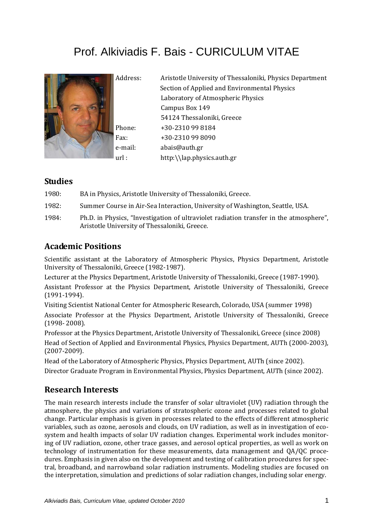# Prof. Alkiviadis F. Bais - CURICULUM VITAE



Address: Aristotle University of Thessaloniki, Physics Department Section of Applied and Environmental Physics Laboratory of Atmospheric Physics Campus Box 149 54124 Thessaloniki, Greece Phone: +30‐2310 99 8184 Fax: +30‐2310 99 8090 e‐mail: abais@auth.gr url : http:\\lap.physics.auth.gr

#### **Studies**

1980: BA in Physics, Aristotle University of Thessaloniki, Greece.

1982: Summer Course in Air‐Sea Interaction, University of Washington, Seattle, USA.

1984: Ph.D. in Physics, "Investigation of ultraviolet radiation transfer in the atmosphere", Aristotle University of Thessaloniki, Greece.

### **Academic Positions**

Scientific assistant at the Laboratory of Atmospheric Physics, Physics Department, Aristotle University of Thessaloniki, Greece (1982‐1987).

Lecturer at the Physics Department, Aristotle University of Thessaloniki, Greece (1987‐1990).

Assistant Professor at the Physics Department, Aristotle University of Thessaloniki, Greece (1991‐1994).

Visiting Scientist National Center for Atmospheric Research, Colorado, USA (summer 1998) Associate Professor at the Physics Department, Aristotle University of Thessaloniki, Greece (1998‐ 2008).

Professor at the Physics Department, Aristotle University of Thessaloniki, Greece (since 2008) Head of Section of Applied and Environmental Physics, Physics Department, AUTh (2000‐2003), (2007‐2009).

Head of the Laboratory of Atmospheric Physics, Physics Department, AUTh (since 2002). Director Graduate Program in Environmental Physics, Physics Department, AUTh (since 2002).

### **Research Interests**

The main research interests include the transfer of solar ultraviolet (UV) radiation through the atmosphere, the physics and variations of stratospheric ozone and processes related to global change. Particular emphasis is given in processes related to the effects of different atmospheric variables, such as ozone, aerosols and clouds, on UV radiation, as well as in investigation of eco‐ system and health impacts of solar UV radiation changes. Experimental work includes monitor‐ ing of UV radiation, ozone, other trace gasses, and aerosol optical properties, as well as work on technology of instrumentation for these measurements, data management and QA/QC proce‐ dures. Emphasis in given also on the development and testing of calibration procedures for spectral, broadband, and narrowband solar radiation instruments. Modeling studies are focused on the interpretation, simulation and predictions of solar radiation changes, including solar energy.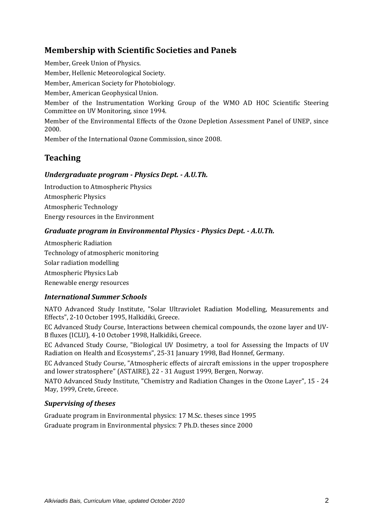### **Membership with Scientific Societies and Panels**

Member, Greek Union of Physics.

Member, Hellenic Meteorological Society.

Member, American Society for Photobiology.

Member, American Geophysical Union.

Member of the Instrumentation Working Group of the WMO AD HOC Scientific Steering Committee on UV Monitoring, since 1994.

Member of the Environmental Effects of the Ozone Depletion Assessment Panel of UNEP, since 2000.

Member of the International Ozone Commission, since 2008.

## **Teaching**

#### *Undergraduate program Physics Dept. A.U.Th.*

Introduction to Atmospheric Physics Atmospheric Physics Atmospheric Technology Energy resources in the Environment

#### *Graduate program in Environmental Physics Physics Dept. A.U.Th.*

Atmospheric Radiation Technology of atmospheric monitoring Solar radiation modelling Atmospheric Physics Lab Renewable energy resources

#### *International Summer Schools*

NATO Advanced Study Institute, "Solar Ultraviolet Radiation Modelling, Measurements and Effects", 2‐10 October 1995, Halkidiki, Greece.

EC Advanced Study Course, Interactions between chemical compounds, the ozone layer and UV‐ B fluxes (ICLU), 4‐10 October 1998, Halkidiki, Greece.

EC Advanced Study Course, "Biological UV Dosimetry, a tool for Assessing the Impacts of UV Radiation on Health and Ecosystems", 25‐31 January 1998, Bad Honnef, Germany.

EC Advanced Study Course, "Atmospheric effects of aircraft emissions in the upper troposphere and lower stratosphere" (ASTAIRE), 22 ‐ 31 August 1999, Bergen, Norway.

NATO Advanced Study Institute, "Chemistry and Radiation Changes in the Ozone Layer", 15 ‐ 24 May, 1999, Crete, Greece.

#### *Supervising of theses*

Graduate program in Environmental physics: 17 M.Sc. theses since 1995 Graduate program in Environmental physics: 7 Ph.D. theses since 2000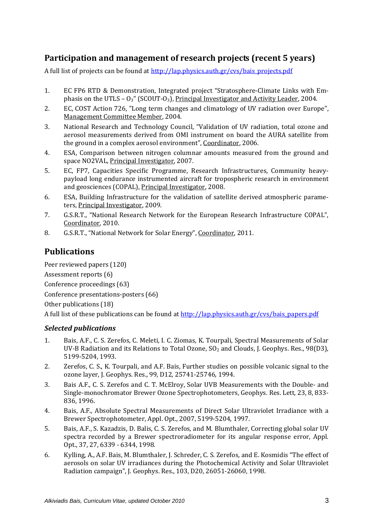### **Participation and management of research projects (recent 5 years)**

A full list of projects can be found at http://lap.physics.auth.gr/cvs/bais\_projects.pdf

- 1. EC FP6 RTD & Demonstration, Integrated project "Stratosphere‐Climate Links with Em‐ phasis on the UTLS –  $O_3$ " (SCOUT- $O_3$ ), Principal Investigator and Activity Leader, 2004.
- 2. EC, COST Action 726, "Long term changes and climatology of UV radiation over Europe", Management Committee Member, 2004.
- 3. National Research and Technology Council, "Validation of UV radiation, total ozone and aerosol measurements derived from OMI instrument on board the AURA satellite from the ground in a complex aerosol environment", Coordinator, 2006.
- 4. ESA, Comparison between nitrogen columnar amounts measured from the ground and space NO2VAL, Principal Investigator, 2007.
- 5. EC, FP7, Capacities Specific Programme, Research Infrastructures, Community heavy‐ payload long endurance instrumented aircraft for tropospheric research in environment and geosciences (COPAL), Principal Investigator, 2008.
- 6. ESA, Building Infrastructure for the validation of satellite derived atmospheric parame‐ ters, Principal Investigator, 2009.
- 7. G.S.R.T., "National Research Network for the European Research Infrastructure COPAL", Coordinator, 2010.
- 8. G.S.R.T., "National Network for Solar Energy", Coordinator, 2011.

## **Publications**

Peer reviewed papers (120)

Assessment reports (6)

Conference proceedings (63)

Conference presentations‐posters (66)

Other publications (18)

A full list of these publications can be found at http://lap.physics.auth.gr/cvs/bais\_papers.pdf

#### *Selected publications*

- 1. Bais, A.F., C. S. Zerefos, C. Meleti, I. C. Ziomas, K. Tourpali, Spectral Measurements of Solar UV-B Radiation and its Relations to Total Ozone,  $SO<sub>2</sub>$  and Clouds, J. Geophys. Res., 98(D3), 5199‐5204, 1993.
- 2. Zerefos, C. S., K. Tourpali, and A.F. Bais, Further studies on possible volcanic signal to the ozone layer, J. Geophys. Res., 99, D12, 25741‐25746, 1994.
- 3. Bais A.F., C. S. Zerefos and C. T. McElroy, Solar UVB Measurements with the Double‐ and Single‐monochromator Brewer Ozone Spectrophotometers, Geophys. Res. Lett, 23, 8, 833‐ 836, 1996.
- 4. Bais, A.F., Absolute Spectral Measurements of Direct Solar Ultraviolet Irradiance with a Brewer Spectrophotometer, Appl. Opt., 2007, 5199‐5204, 1997.
- 5. Bais, A.F., S. Kazadzis, D. Balis, C. S. Zerefos, and M. Blumthaler, Correcting global solar UV spectra recorded by a Brewer spectroradiometer for its angular response error, Appl. Opt., 37, 27, 6339 ‐ 6344, 1998.
- 6. Kylling, A., A.F. Bais, M. Blumthaler, J. Schreder, C. S. Zerefos, and E. Kosmidis "The effect of aerosols on solar UV irradiances during the Photochemical Activity and Solar Ultraviolet Radiation campaign", J. Geophys. Res., 103, D20, 26051‐26060, 1998.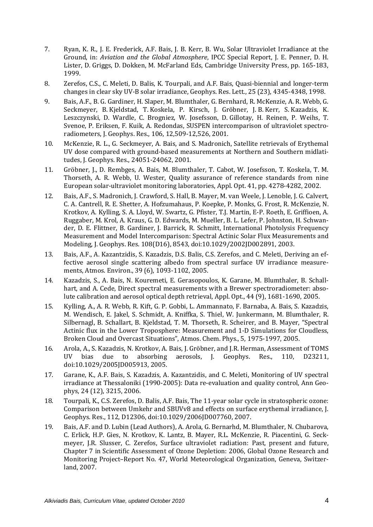- 7. Ryan, K. R., J. E. Frederick, A.F. Bais, J. B. Kerr, B. Wu, Solar Ultraviolet Irradiance at the Ground, in: *Aviation and the Global Atmosphere*, IPCC Special Report, J. E. Penner, D. H. Lister, D. Griggs, D. Dokken, M. McFarland Eds, Cambridge University Press, pp. 165‐183, 1999.
- 8. Zerefos, C.S., C. Meleti, D. Balis, K. Tourpali, and A.F. Bais, Quasi-biennial and longer-term changes in clear sky UV‐B solar irradiance, Geophys. Res. Lett., 25 (23), 4345‐4348, 1998.
- 9. Bais, A.F., B. G. Gardiner, H. Slaper, M. Blumthaler, G. Bernhard, R. McKenzie, A. R. Webb, G. Seckmeyer, B. Kjeldstad, T. Koskela, P. Kirsch, J. Gröbner, J. B. Kerr, S. Kazadzis, K. Leszczynski, D. Wardle, C. Brogniez, W. Josefsson, D. Gillotay, H. Reinen, P. Weihs, T. Svenoe, P. Eriksen, F. Kuik, A. Redondas, SUSPEN intercomparison of ultraviolet spectro‐ radiometers, J. Geophys. Res., 106, 12,509‐12,526, 2001.
- 10. McKenzie, R. L., G. Seckmeyer, A. Bais, and S. Madronich, Satellite retrievals of Erythemal UV dose compared with ground‐based measurements at Northern and Southern midlati‐ tudes, J. Geophys. Res., 24051‐24062, 2001.
- 11. Gröbner, J., D. Rembges, A. Bais, M. Blumthaler, T. Cabot, W. Josefsson, T. Koskela, T. M. Thorseth, A. R. Webb, U. Wester, Quality assurance of reference standards from nine European solar‐ultraviolet monitoring laboratories, Appl. Opt. 41, pp. 4278‐4282, 2002.
- 12. Bais, A.F., S. Madronich, J. Crawford, S. Hall, B. Mayer, M. van Weele, J. Lenoble, J. G. Calvert, C. A. Cantrell, R. E. Shetter, A. Hofzumahaus, P. Koepke, P. Monks, G. Frost, R. McKenzie, N. Krotkov, A. Kylling, S. A. Lloyd, W. Swartz, G. Pfister, T.J. Martin, E‐P. Roeth, E. Griffioen, A. Ruggaber, M. Krol, A. Kraus, G. D. Edwards, M. Mueller, B. L. Lefer, P. Johnston, H. Schwan‐ der, D. E. Flittner, B. Gardiner, J. Barrick, R. Schmitt, International Photolysis Frequency Measurement and Model Intercomparison: Spectral Actinic Solar Flux Measurements and Modeling, J. Geophys. Res. 108(D16), 8543, doi:10.1029/2002JD002891, 2003.
- 13. Bais, A.F., A. Kazantzidis, S. Kazadzis, D.S. Balis, C.S. Zerefos, and C. Meleti, Deriving an ef‐ fective aerosol single scattering albedo from spectral surface UV irradiance measurements, Atmos. Environ., 39 (6), 1093‐1102, 2005.
- 14. Kazadzis, S., A. Bais, N. Kouremeti, E. Gerasopoulos, K. Garane, M. Blumthaler, B. Schall‐ hart, and A. Cede, Direct spectral measurements with a Brewer spectroradiometer: absolute calibration and aerosol optical depth retrieval, Appl. Opt., 44 (9), 1681‐1690, 2005.
- 15. Kylling, A., A. R. Webb, R. Kift, G. P. Gobbi, L. Ammannato, F. Barnaba, A. Bais, S. Kazadzis, M. Wendisch, E. Jakel, S. Schmidt, A. Kniffka, S. Thiel, W. Junkermann, M. Blumthaler, R. Silbernagl, B. Schallart, B. Kjeldstad, T. M. Thorseth, R. Scheirer, and B. Mayer, "Spectral Actinic flux in the Lower Troposphere: Measurement and 1‐D Simulations for Cloudless, Broken Cloud and Overcast Situations", Atmos. Chem. Phys., 5, 1975‐1997, 2005.
- 16. Arola, A., S. Kazadzis, N. Krotkov, A. Bais, J. Gröbner, and J.R. Herman, Assessment of TOMS UV bias due to absorbing aerosols, J. Geophys. Res., 110, D23211, doi:10.1029/2005JD005913, 2005.
- 17. Garane, K., A.F. Bais, S. Kazadzis, A. Kazantzidis, and C. Meleti, Monitoring of UV spectral irradiance at Thessaloniki (1990‐2005): Data re‐evaluation and quality control, Ann Geo‐ phys, 24 (12), 3215, 2006.
- 18. Tourpali, K., C.S. Zerefos, D. Balis, A.F. Bais, The 11‐year solar cycle in stratospheric ozone: Comparison between Umkehr and SBUVv8 and effects on surface erythemal irradiance, J. Geophys. Res., 112, D12306, doi:10.1029/2006JD007760, 2007.
- 19. Bais, A.F. and D. Lubin (Lead Authors), A. Arola, G. Bernarhd, M. Blumthaler, N. Chubarova, C. Erlick, H.P. Gies, N. Krotkov, K. Lantz, B. Mayer, R.L. McKenzie, R. Piacentini, G. Seck‐ meyer, J.R. Slusser, C. Zerefos, Surface ultraviolet radiation: Past, present and future, Chapter 7 in Scientific Assessment of Ozone Depletion: 2006, Global Ozone Research and Monitoring Project–Report No. 47, World Meteorological Organization, Geneva, Switzer‐ land, 2007.